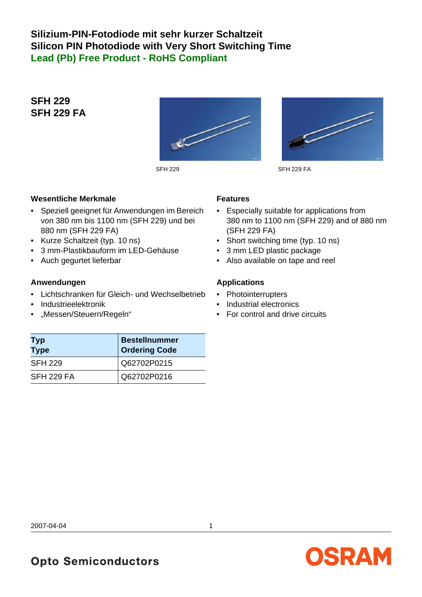## **Silizium-PIN-Fotodiode mit sehr kurzer Schaltzeit Silicon PIN Photodiode with Very Short Switching Time Lead (Pb) Free Product - RoHS Compliant**

## **SFH 229 SFH 229 FA**





SFH 229 SFH 229 FA

#### **Wesentliche Merkmale**

- Speziell geeignet für Anwendungen im Bereich von 380 nm bis 1100 nm (SFH 229) und bei 880 nm (SFH 229 FA)
- Kurze Schaltzeit (typ. 10 ns)
- 3 mm-Plastikbauform im LED-Gehäuse
- Auch gegurtet lieferbar

#### **Anwendungen**

- Lichtschranken für Gleich- und Wechselbetrieb
- Industrieelektronik
- "Messen/Steuern/Regeln"

#### **Features**

- Especially suitable for applications from 380 nm to 1100 nm (SFH 229) and of 880 nm (SFH 229 FA)
- Short switching time (typ. 10 ns)
- 3 mm LED plastic package
- Also available on tape and reel

#### **Applications**

- Photointerrupters
- Industrial electronics
- For control and drive circuits

| <b>Typ</b><br><b>Type</b> | <b>Bestellnummer</b><br><b>Ordering Code</b> |
|---------------------------|----------------------------------------------|
| <b>SFH 229</b>            | Q62702P0215                                  |
| <b>SFH 229 FA</b>         | Q62702P0216                                  |

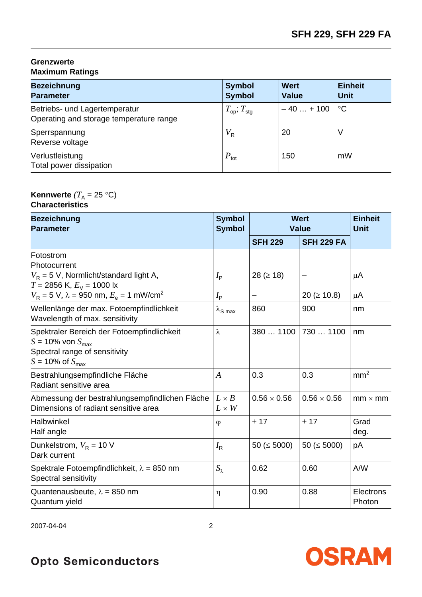#### **Grenzwerte Maximum Ratings**

| <b>Bezeichnung</b><br><b>Parameter</b>                                   | <b>Symbol</b><br><b>Symbol</b>     | <b>Wert</b><br><b>Value</b> | <b>Einheit</b><br><b>Unit</b> |
|--------------------------------------------------------------------------|------------------------------------|-----------------------------|-------------------------------|
| Betriebs- und Lagertemperatur<br>Operating and storage temperature range | $T_{\text{op}}$ ; $T_{\text{stg}}$ | $-40+100$                   | $^{\circ}C$                   |
| Sperrspannung<br>Reverse voltage                                         | $V_{\sf R}$                        | 20                          | ν                             |
| Verlustleistung<br>Total power dissipation                               | $P_{\text{tot}}$                   | 150                         | mW                            |

## **Kennwerte**  $(T_A = 25 \text{ }^{\circ}\text{C})$

#### **Characteristics**

| <b>Bezeichnung</b><br><b>Parameter</b>                                                                                                                                  | <b>Symbol</b><br><b>Symbol</b>         |                      | <b>Wert</b><br><b>Value</b> | <b>Einheit</b><br><b>Unit</b> |
|-------------------------------------------------------------------------------------------------------------------------------------------------------------------------|----------------------------------------|----------------------|-----------------------------|-------------------------------|
|                                                                                                                                                                         |                                        | <b>SFH 229</b>       | <b>SFH 229 FA</b>           |                               |
| Fotostrom<br>Photocurrent<br>$V_R$ = 5 V, Normlicht/standard light A,<br>$T = 2856$ K, $E_V = 1000$ lx<br>$V_R$ = 5 V, $\lambda$ = 950 nm, $E_e$ = 1 mW/cm <sup>2</sup> | $I_{\mathsf{P}}$<br>$I_{\mathsf{P}}$   | 28 ( $\geq$ 18)<br>— | 20 ( $\geq$ 10.8)           | $\mu$ A<br>μA                 |
| Wellenlänge der max. Fotoempfindlichkeit<br>Wavelength of max. sensitivity                                                                                              | $\lambda_{\mathsf{S} \, \mathsf{max}}$ | 860                  | 900                         | nm                            |
| Spektraler Bereich der Fotoempfindlichkeit<br>$S = 10\%$ von $S_{\text{max}}$<br>Spectral range of sensitivity<br>$S = 10\%$ of $S_{\text{max}}$                        | $\lambda$                              | 380  1100            | 730  1100                   | nm                            |
| Bestrahlungsempfindliche Fläche<br>Radiant sensitive area                                                                                                               | $\boldsymbol{A}$                       | 0.3                  | 0.3                         | mm <sup>2</sup>               |
| Abmessung der bestrahlungsempfindlichen Fläche<br>Dimensions of radiant sensitive area                                                                                  | $L \times B$<br>$L \times W$           | $0.56 \times 0.56$   | $0.56 \times 0.56$          | $mm \times mm$                |
| Halbwinkel<br>Half angle                                                                                                                                                | $\varphi$                              | ± 17                 | ± 17                        | Grad<br>deg.                  |
| Dunkelstrom, $V_R = 10$ V<br>Dark current                                                                                                                               | $I_{\mathsf{R}}$                       | 50 ( $\leq$ 5000)    | 50 ( $\leq$ 5000)           | pA                            |
| Spektrale Fotoempfindlichkeit, $\lambda = 850$ nm<br>Spectral sensitivity                                                                                               | $S_{\lambda}$                          | 0.62                 | 0.60                        | A/W                           |
| Quantenausbeute, $\lambda = 850$ nm<br>Quantum yield                                                                                                                    | η                                      | 0.90                 | 0.88                        | <b>Electrons</b><br>Photon    |

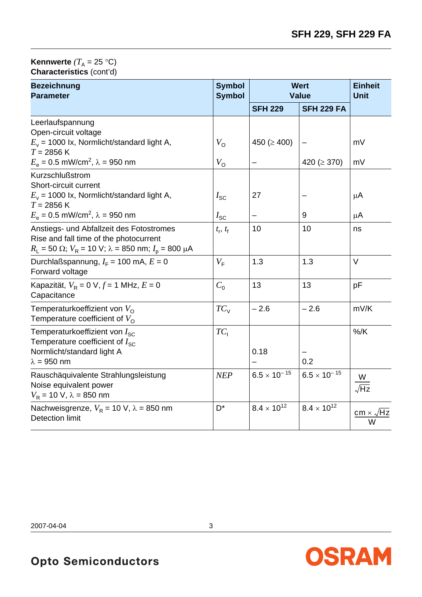#### **Kennwerte**  $(T_A = 25 \text{ }^{\circ}\text{C})$ **Characteristics** (cont'd)

| <b>Bezeichnung</b><br><b>Parameter</b>                                                                                                                                  | <b>Symbol</b><br><b>Symbol</b> | <b>Wert</b><br><b>Value</b> |                       | <b>Einheit</b><br><b>Unit</b> |
|-------------------------------------------------------------------------------------------------------------------------------------------------------------------------|--------------------------------|-----------------------------|-----------------------|-------------------------------|
|                                                                                                                                                                         |                                | <b>SFH 229</b>              | <b>SFH 229 FA</b>     |                               |
| Leerlaufspannung<br>Open-circuit voltage                                                                                                                                |                                |                             |                       |                               |
| $E_v$ = 1000 lx, Normlicht/standard light A,<br>$T = 2856$ K                                                                                                            | $V_{\Omega}$                   | 450 ( $\geq$ 400)           |                       | mV                            |
| $E_e = 0.5$ mW/cm <sup>2</sup> , $\lambda = 950$ nm                                                                                                                     | $V_{\rm O}$                    |                             | 420 ( $\geq$ 370)     | mV                            |
| Kurzschlußstrom<br>Short-circuit current<br>$E_v$ = 1000 lx, Normlicht/standard light A,                                                                                | $I_{\rm SC}$                   | 27                          |                       | μA                            |
| $T = 2856$ K<br>$E_e$ = 0.5 mW/cm <sup>2</sup> , λ = 950 nm                                                                                                             | $I_{\rm SC}$                   |                             | 9                     | μA                            |
| Anstiegs- und Abfallzeit des Fotostromes<br>Rise and fall time of the photocurrent<br>$R_{L}$ = 50 $\Omega$ ; $V_{R}$ = 10 V; $\lambda$ = 850 nm; $I_{p}$ = 800 $\mu$ A | $t_{\rm r}, t_{\rm f}$         | 10                          | 10                    | ns                            |
| Durchlaßspannung, $I_F = 100$ mA, $E = 0$<br>Forward voltage                                                                                                            | $V_{\rm F}$                    | 1.3                         | 1.3                   | V                             |
| Kapazität, $V_R = 0$ V, $f = 1$ MHz, $E = 0$<br>Capacitance                                                                                                             | $C_0$                          | 13                          | 13                    | pF                            |
| Temperaturkoeffizient von $V_{\Omega}$<br>Temperature coefficient of $V_{\Omega}$                                                                                       | $TC_{V}$                       | $-2.6$                      | $-2.6$                | mV/K                          |
| Temperaturkoeffizient von $I_{SC}$<br>Temperature coefficient of $I_{SC}$<br>Normlicht/standard light A<br>$\lambda = 950$ nm                                           | $TC_1$                         | 0.18                        | 0.2                   | $%$ /K                        |
| Rauschäquivalente Strahlungsleistung<br>Noise equivalent power<br>$V_R$ = 10 V, $\lambda$ = 850 nm                                                                      | NEP                            | $6.5 \times 10^{-15}$       | $6.5 \times 10^{-15}$ | $\frac{W}{\sqrt{Hz}}$         |
| Nachweisgrenze, $V_R$ = 10 V, $\lambda$ = 850 nm<br><b>Detection limit</b>                                                                                              | D <sup>*</sup>                 | $8.4 \times 10^{12}$        | $8.4 \times 10^{12}$  | $cm \times$                   |

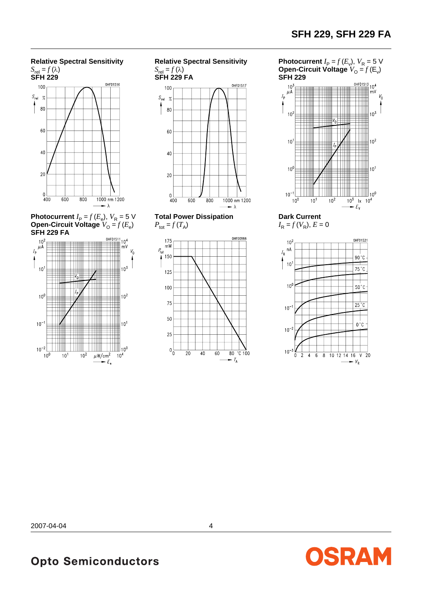### **Relative Spectral Sensitivity**



**Photocurrent**  $I_P = f(E_e)$ ,  $V_R = 5$  V **Open-Circuit Voltage**  $V_{\mathsf{O}} = f(E_{\mathsf{e}})$ **SFH 229 FA**



**Relative Spectral Sensitivity**  $S_{\text{rel}} = f(\lambda)$ 



**Total Power Dissipation**   $P_{\text{tot}} = f(T_A)$ 



**Photocurrent**  $I_P = f(E_v)$ ,  $V_R = 5$  V **Open-Circuit Voltage**  $V_{\text{O}} = f(E_{\text{v}})$ **SFH 229**



**Dark Current**  $I_{\rm R} = f(V_{\rm R})$ ,  $E = 0$ 



OSRAM

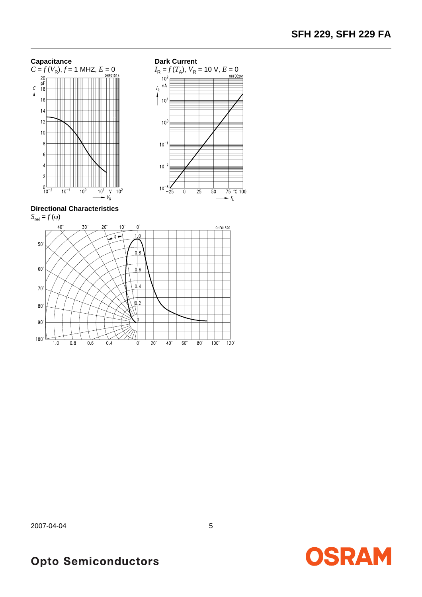



**Directional Characteristics**



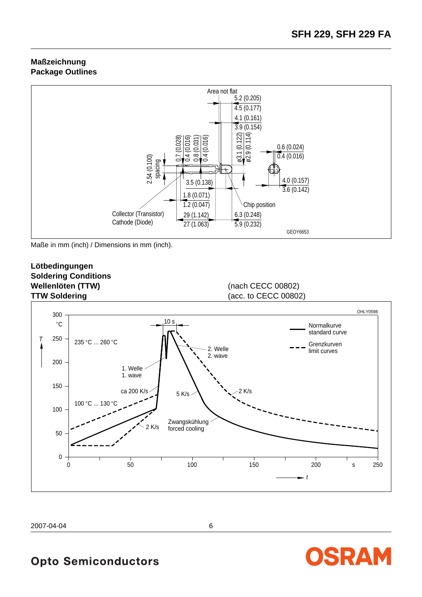OSRAM

#### **Maßzeichnung Package Outlines**



Maße in mm (inch) / Dimensions in mm (inch).

#### **Lötbedingungen Soldering Conditions Wellenlöten (TTW)** (nach CECC 00802) **TTW Soldering** (acc. to CECC 00802)



2007-04-04 6

# **Opto Semiconductors**